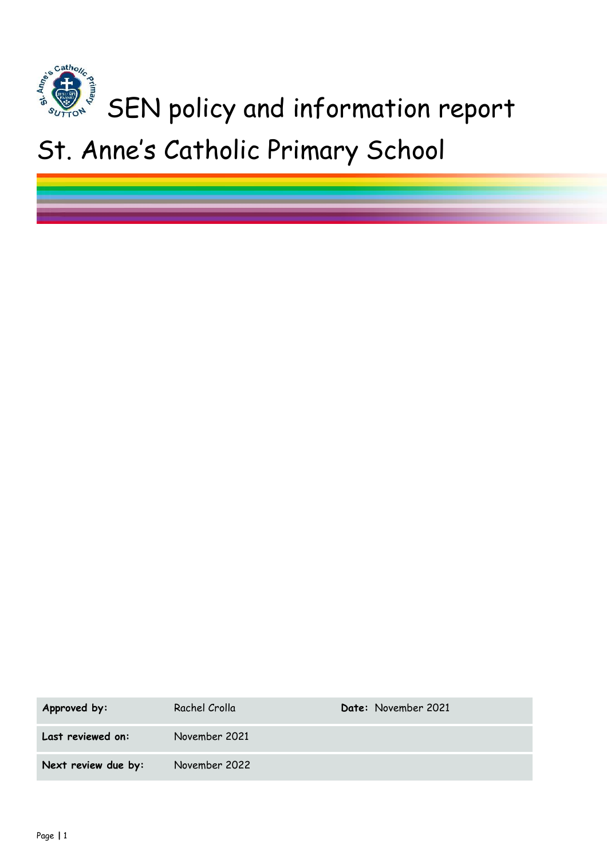

# St. Anne's Catholic Primary School

| Approved by:        | Rachel Crolla | Date: November 2021 |
|---------------------|---------------|---------------------|
| Last reviewed on:   | November 2021 |                     |
| Next review due by: | November 2022 |                     |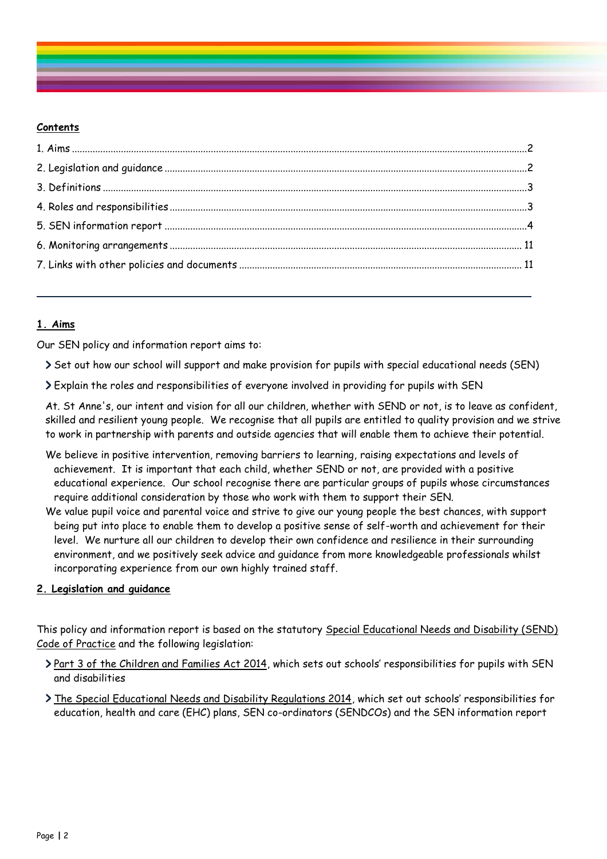# **Contents**

# <span id="page-1-0"></span>**1. Aims**

Our SEN policy and information report aims to:

Set out how our school will support and make provision for pupils with special educational needs (SEN)

Explain the roles and responsibilities of everyone involved in providing for pupils with SEN

At. St Anne's, our intent and vision for all our children, whether with SEND or not, is to leave as confident, skilled and resilient young people. We recognise that all pupils are entitled to quality provision and we strive to work in partnership with parents and outside agencies that will enable them to achieve their potential.

- We believe in positive intervention, removing barriers to learning, raising expectations and levels of achievement. It is important that each child, whether SEND or not, are provided with a positive educational experience. Our school recognise there are particular groups of pupils whose circumstances require additional consideration by those who work with them to support their SEN.
- We value pupil voice and parental voice and strive to give our young people the best chances, with support being put into place to enable them to develop a positive sense of self-worth and achievement for their level. We nurture all our children to develop their own confidence and resilience in their surrounding environment, and we positively seek advice and guidance from more knowledgeable professionals whilst incorporating experience from our own highly trained staff.

# <span id="page-1-1"></span>**2. Legislation and guidance**

This policy and information report is based on the statutory [Special Educational Needs and Disability \(SEND\)](https://www.gov.uk/government/uploads/system/uploads/attachment_data/file/398815/SEND_Code_of_Practice_January_2015.pdf)  [Code of Practice](https://www.gov.uk/government/uploads/system/uploads/attachment_data/file/398815/SEND_Code_of_Practice_January_2015.pdf) and the following legislation:

- > [Part 3 of the Children and Families Act 2014](http://www.legislation.gov.uk/ukpga/2014/6/part/3), which sets out schools' responsibilities for pupils with SEN and disabilities
- <span id="page-1-2"></span>> [The Special Educational Needs and Disability Regulations 2014](http://www.legislation.gov.uk/uksi/2014/1530/contents/made), which set out schools' responsibilities for education, health and care (EHC) plans, SEN co-ordinators (SENDCOs) and the SEN information report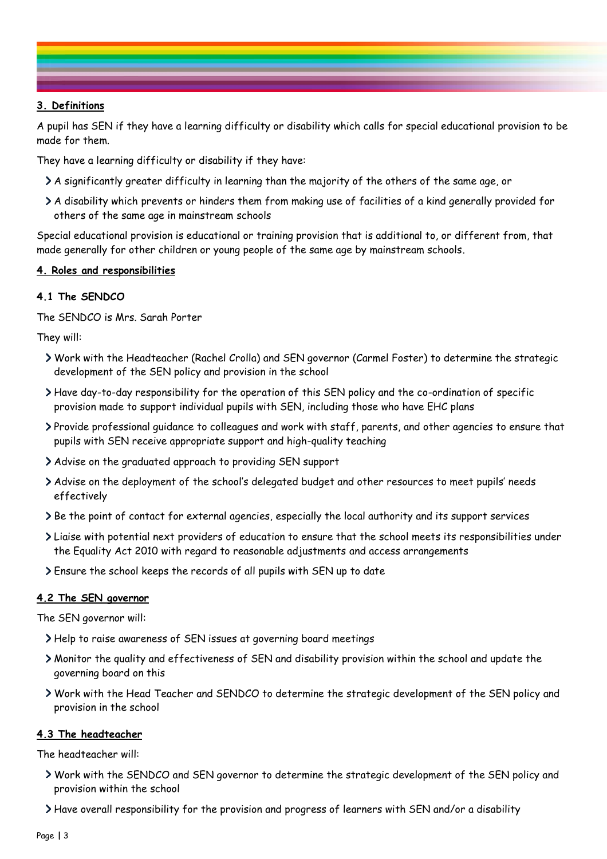# **3. Definitions**

A pupil has SEN if they have a learning difficulty or disability which calls for special educational provision to be made for them.

They have a learning difficulty or disability if they have:

- A significantly greater difficulty in learning than the majority of the others of the same age, or
- A disability which prevents or hinders them from making use of facilities of a kind generally provided for others of the same age in mainstream schools

Special educational provision is educational or training provision that is additional to, or different from, that made generally for other children or young people of the same age by mainstream schools.

#### <span id="page-2-0"></span>**4. Roles and responsibilities**

## **4.1 The SENDCO**

The SENDCO is Mrs. Sarah Porter

They will:

- Work with the Headteacher (Rachel Crolla) and SEN governor (Carmel Foster) to determine the strategic development of the SEN policy and provision in the school
- Have day-to-day responsibility for the operation of this SEN policy and the co-ordination of specific provision made to support individual pupils with SEN, including those who have EHC plans
- Provide professional guidance to colleagues and work with staff, parents, and other agencies to ensure that pupils with SEN receive appropriate support and high-quality teaching
- Advise on the graduated approach to providing SEN support
- Advise on the deployment of the school's delegated budget and other resources to meet pupils' needs effectively
- Be the point of contact for external agencies, especially the local authority and its support services
- Liaise with potential next providers of education to ensure that the school meets its responsibilities under the Equality Act 2010 with regard to reasonable adjustments and access arrangements
- Ensure the school keeps the records of all pupils with SEN up to date

#### **4.2 The SEN governor**

The SEN governor will:

- Help to raise awareness of SEN issues at governing board meetings
- Monitor the quality and effectiveness of SEN and disability provision within the school and update the governing board on this
- Work with the Head Teacher and SENDCO to determine the strategic development of the SEN policy and provision in the school

#### **4.3 The headteacher**

The headteacher will:

- Work with the SENDCO and SEN governor to determine the strategic development of the SEN policy and provision within the school
- Have overall responsibility for the provision and progress of learners with SEN and/or a disability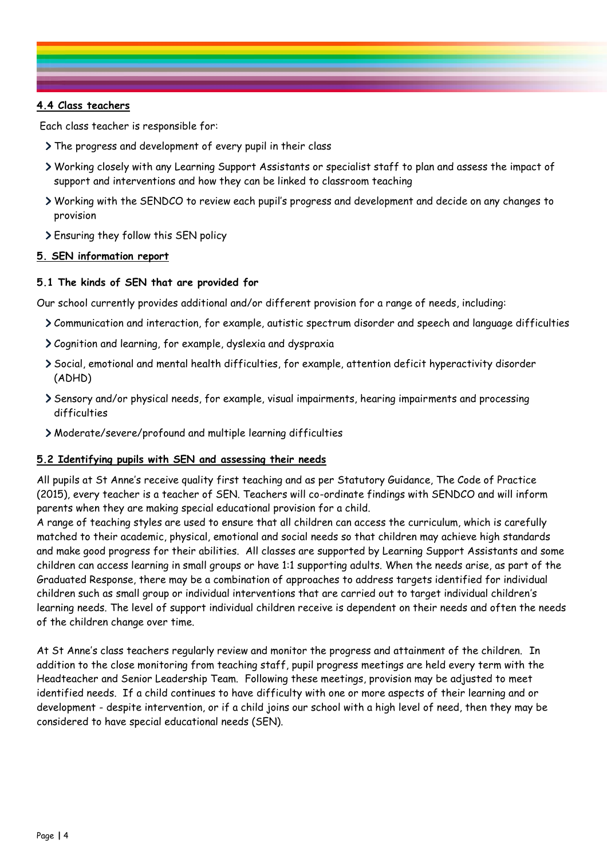# **4.4 Class teachers**

Each class teacher is responsible for:

- The progress and development of every pupil in their class
- Working closely with any Learning Support Assistants or specialist staff to plan and assess the impact of support and interventions and how they can be linked to classroom teaching
- Working with the SENDCO to review each pupil's progress and development and decide on any changes to provision
- Ensuring they follow this SEN policy

## <span id="page-3-0"></span>**5. SEN information report**

# **5.1 The kinds of SEN that are provided for**

Our school currently provides additional and/or different provision for a range of needs, including:

- Communication and interaction, for example, autistic spectrum disorder and speech and language difficulties
- Cognition and learning, for example, dyslexia and dyspraxia
- Social, emotional and mental health difficulties, for example, attention deficit hyperactivity disorder (ADHD)
- Sensory and/or physical needs, for example, visual impairments, hearing impairments and processing difficulties
- Moderate/severe/profound and multiple learning difficulties

# **5.2 Identifying pupils with SEN and assessing their needs**

All pupils at St Anne's receive quality first teaching and as per Statutory Guidance, The Code of Practice (2015), every teacher is a teacher of SEN. Teachers will co-ordinate findings with SENDCO and will inform parents when they are making special educational provision for a child.

A range of teaching styles are used to ensure that all children can access the curriculum, which is carefully matched to their academic, physical, emotional and social needs so that children may achieve high standards and make good progress for their abilities. All classes are supported by Learning Support Assistants and some children can access learning in small groups or have 1:1 supporting adults. When the needs arise, as part of the Graduated Response, there may be a combination of approaches to address targets identified for individual children such as small group or individual interventions that are carried out to target individual children's learning needs. The level of support individual children receive is dependent on their needs and often the needs of the children change over time.

At St Anne's class teachers regularly review and monitor the progress and attainment of the children. In addition to the close monitoring from teaching staff, pupil progress meetings are held every term with the Headteacher and Senior Leadership Team. Following these meetings, provision may be adjusted to meet identified needs. If a child continues to have difficulty with one or more aspects of their learning and or development - despite intervention, or if a child joins our school with a high level of need, then they may be considered to have special educational needs (SEN).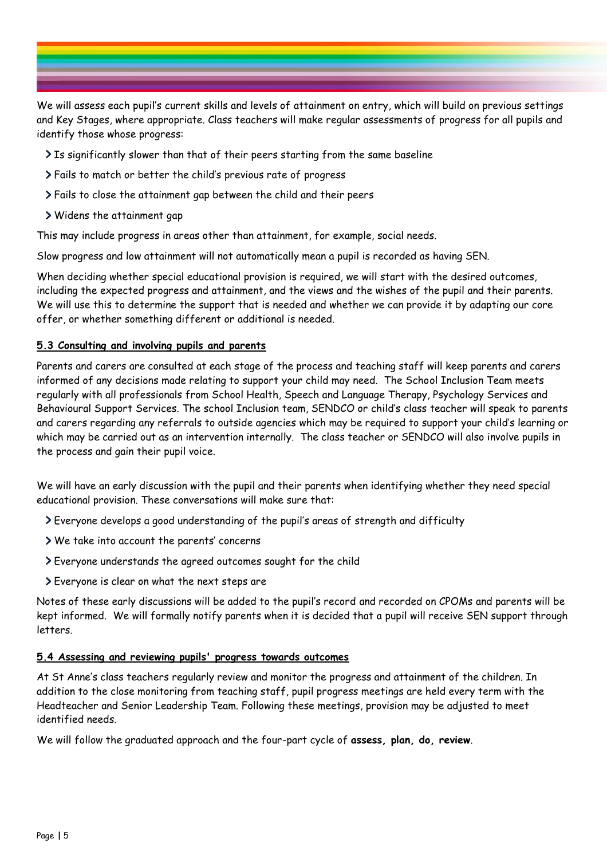

We will assess each pupil's current skills and levels of attainment on entry, which will build on previous settings and Key Stages, where appropriate. Class teachers will make regular assessments of progress for all pupils and identify those whose progress:

- Is significantly slower than that of their peers starting from the same baseline
- Fails to match or better the child's previous rate of progress
- Fails to close the attainment gap between the child and their peers
- Widens the attainment gap

This may include progress in areas other than attainment, for example, social needs.

Slow progress and low attainment will not automatically mean a pupil is recorded as having SEN.

When deciding whether special educational provision is required, we will start with the desired outcomes, including the expected progress and attainment, and the views and the wishes of the pupil and their parents. We will use this to determine the support that is needed and whether we can provide it by adapting our core offer, or whether something different or additional is needed.

# **5.3 Consulting and involving pupils and parents**

Parents and carers are consulted at each stage of the process and teaching staff will keep parents and carers informed of any decisions made relating to support your child may need. The School Inclusion Team meets regularly with all professionals from School Health, Speech and Language Therapy, Psychology Services and Behavioural Support Services. The school Inclusion team, SENDCO or child's class teacher will speak to parents and carers regarding any referrals to outside agencies which may be required to support your child's learning or which may be carried out as an intervention internally. The class teacher or SENDCO will also involve pupils in the process and gain their pupil voice.

We will have an early discussion with the pupil and their parents when identifying whether they need special educational provision. These conversations will make sure that:

- Everyone develops a good understanding of the pupil's areas of strength and difficulty
- We take into account the parents' concerns
- Everyone understands the agreed outcomes sought for the child
- Everyone is clear on what the next steps are

Notes of these early discussions will be added to the pupil's record and recorded on CPOMs and parents will be kept informed. We will formally notify parents when it is decided that a pupil will receive SEN support through letters.

# **5.4 Assessing and reviewing pupils' progress towards outcomes**

At St Anne's class teachers regularly review and monitor the progress and attainment of the children. In addition to the close monitoring from teaching staff, pupil progress meetings are held every term with the Headteacher and Senior Leadership Team. Following these meetings, provision may be adjusted to meet identified needs.

We will follow the graduated approach and the four-part cycle of **assess, plan, do, review**.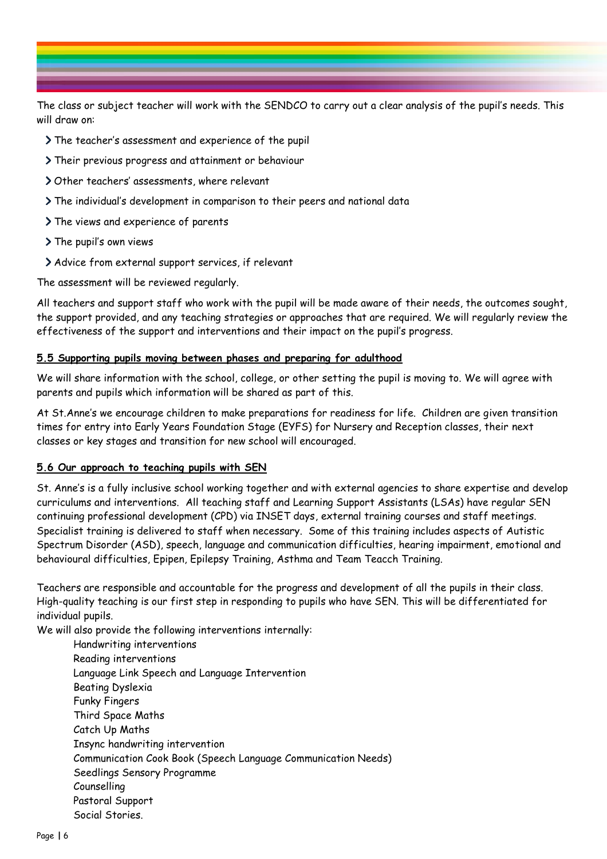The class or subject teacher will work with the SENDCO to carry out a clear analysis of the pupil's needs. This will draw on:

- The teacher's assessment and experience of the pupil
- Their previous progress and attainment or behaviour
- Other teachers' assessments, where relevant
- The individual's development in comparison to their peers and national data
- > The views and experience of parents
- > The pupil's own views
- Advice from external support services, if relevant

The assessment will be reviewed regularly.

All teachers and support staff who work with the pupil will be made aware of their needs, the outcomes sought, the support provided, and any teaching strategies or approaches that are required. We will regularly review the effectiveness of the support and interventions and their impact on the pupil's progress.

## **5.5 Supporting pupils moving between phases and preparing for adulthood**

We will share information with the school, college, or other setting the pupil is moving to. We will agree with parents and pupils which information will be shared as part of this.

At St.Anne's we encourage children to make preparations for readiness for life. Children are given transition times for entry into Early Years Foundation Stage (EYFS) for Nursery and Reception classes, their next classes or key stages and transition for new school will encouraged.

# **5.6 Our approach to teaching pupils with SEN**

St. Anne's is a fully inclusive school working together and with external agencies to share expertise and develop curriculums and interventions. All teaching staff and Learning Support Assistants (LSAs) have regular SEN continuing professional development (CPD) via INSET days, external training courses and staff meetings. Specialist training is delivered to staff when necessary. Some of this training includes aspects of Autistic Spectrum Disorder (ASD), speech, language and communication difficulties, hearing impairment, emotional and behavioural difficulties, Epipen, Epilepsy Training, Asthma and Team Teacch Training.

Teachers are responsible and accountable for the progress and development of all the pupils in their class. High-quality teaching is our first step in responding to pupils who have SEN. This will be differentiated for individual pupils.

We will also provide the following interventions internally:

Handwriting interventions Reading interventions Language Link Speech and Language Intervention Beating Dyslexia Funky Fingers Third Space Maths Catch Up Maths Insync handwriting intervention Communication Cook Book (Speech Language Communication Needs) Seedlings Sensory Programme Counselling Pastoral Support Social Stories.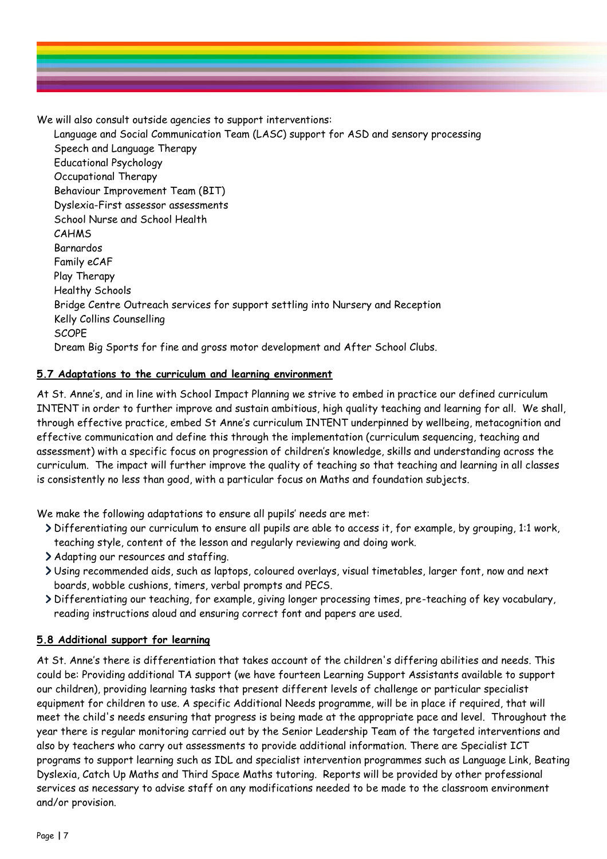

We will also consult outside agencies to support interventions:

Language and Social Communication Team (LASC) support for ASD and sensory processing Speech and Language Therapy Educational Psychology Occupational Therapy Behaviour Improvement Team (BIT) Dyslexia-First assessor assessments School Nurse and School Health CAHMS Barnardos Family eCAF Play Therapy Healthy Schools Bridge Centre Outreach services for support settling into Nursery and Reception Kelly Collins Counselling **SCOPE** Dream Big Sports for fine and gross motor development and After School Clubs.

# **5.7 Adaptations to the curriculum and learning environment**

At St. Anne's, and in line with School Impact Planning we strive to embed in practice our defined curriculum INTENT in order to further improve and sustain ambitious, high quality teaching and learning for all. We shall, through effective practice, embed St Anne's curriculum INTENT underpinned by wellbeing, metacognition and effective communication and define this through the implementation (curriculum sequencing, teaching and assessment) with a specific focus on progression of children's knowledge, skills and understanding across the curriculum. The impact will further improve the quality of teaching so that teaching and learning in all classes is consistently no less than good, with a particular focus on Maths and foundation subjects.

We make the following adaptations to ensure all pupils' needs are met:

- Differentiating our curriculum to ensure all pupils are able to access it, for example, by grouping, 1:1 work, teaching style, content of the lesson and regularly reviewing and doing work.
- Adapting our resources and staffing.
- Using recommended aids, such as laptops, coloured overlays, visual timetables, larger font, now and next boards, wobble cushions, timers, verbal prompts and PECS.
- Differentiating our teaching, for example, giving longer processing times, pre-teaching of key vocabulary, reading instructions aloud and ensuring correct font and papers are used.

# **5.8 Additional support for learning**

At St. Anne's there is differentiation that takes account of the children's differing abilities and needs. This could be: Providing additional TA support (we have fourteen Learning Support Assistants available to support our children), providing learning tasks that present different levels of challenge or particular specialist equipment for children to use. A specific Additional Needs programme, will be in place if required, that will meet the child's needs ensuring that progress is being made at the appropriate pace and level. Throughout the year there is regular monitoring carried out by the Senior Leadership Team of the targeted interventions and also by teachers who carry out assessments to provide additional information. There are Specialist ICT programs to support learning such as IDL and specialist intervention programmes such as Language Link, Beating Dyslexia, Catch Up Maths and Third Space Maths tutoring. Reports will be provided by other professional services as necessary to advise staff on any modifications needed to be made to the classroom environment and/or provision.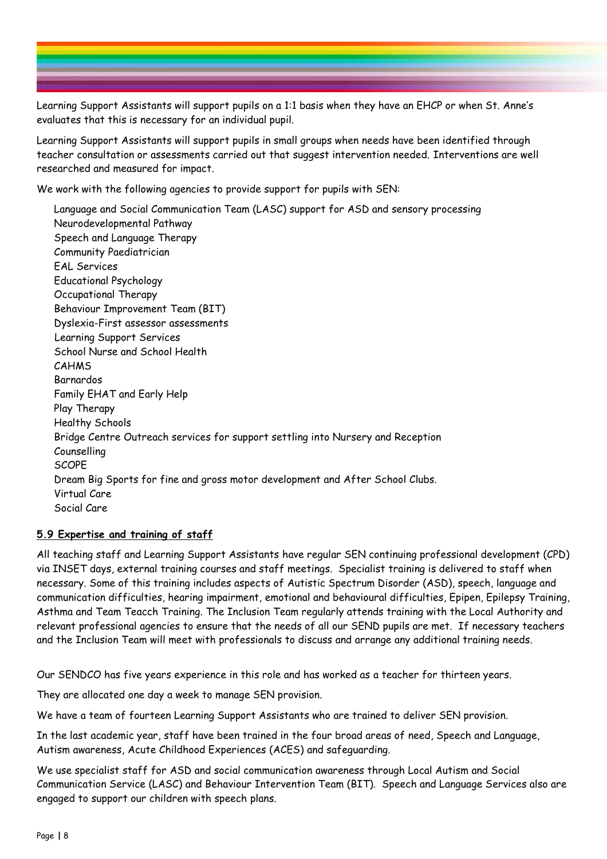Learning Support Assistants will support pupils on a 1:1 basis when they have an EHCP or when St. Anne's evaluates that this is necessary for an individual pupil.

Learning Support Assistants will support pupils in small groups when needs have been identified through teacher consultation or assessments carried out that suggest intervention needed. Interventions are well researched and measured for impact.

We work with the following agencies to provide support for pupils with SEN:

Language and Social Communication Team (LASC) support for ASD and sensory processing Neurodevelopmental Pathway Speech and Language Therapy Community Paediatrician EAL Services Educational Psychology Occupational Therapy Behaviour Improvement Team (BIT) Dyslexia-First assessor assessments Learning Support Services School Nurse and School Health CAHMS Barnardos Family EHAT and Early Help Play Therapy Healthy Schools Bridge Centre Outreach services for support settling into Nursery and Reception Counselling **SCOPF** Dream Big Sports for fine and gross motor development and After School Clubs. Virtual Care Social Care

# **5.9 Expertise and training of staff**

All teaching staff and Learning Support Assistants have regular SEN continuing professional development (CPD) via INSET days, external training courses and staff meetings. Specialist training is delivered to staff when necessary. Some of this training includes aspects of Autistic Spectrum Disorder (ASD), speech, language and communication difficulties, hearing impairment, emotional and behavioural difficulties, Epipen, Epilepsy Training, Asthma and Team Teacch Training. The Inclusion Team regularly attends training with the Local Authority and relevant professional agencies to ensure that the needs of all our SEND pupils are met. If necessary teachers and the Inclusion Team will meet with professionals to discuss and arrange any additional training needs.

Our SENDCO has five years experience in this role and has worked as a teacher for thirteen years.

They are allocated one day a week to manage SEN provision.

We have a team of fourteen Learning Support Assistants who are trained to deliver SEN provision.

In the last academic year, staff have been trained in the four broad areas of need, Speech and Language, Autism awareness, Acute Childhood Experiences (ACES) and safeguarding.

We use specialist staff for ASD and social communication awareness through Local Autism and Social Communication Service (LASC) and Behaviour Intervention Team (BIT). Speech and Language Services also are engaged to support our children with speech plans.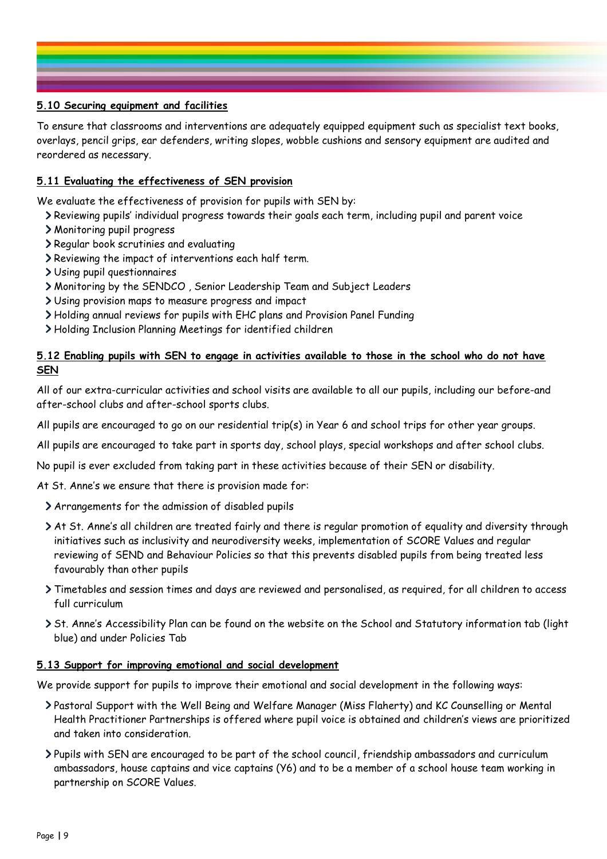# **5.10 Securing equipment and facilities**

To ensure that classrooms and interventions are adequately equipped equipment such as specialist text books, overlays, pencil grips, ear defenders, writing slopes, wobble cushions and sensory equipment are audited and reordered as necessary.

# **5.11 Evaluating the effectiveness of SEN provision**

We evaluate the effectiveness of provision for pupils with SEN by:

- Reviewing pupils' individual progress towards their goals each term, including pupil and parent voice
- Monitoring pupil progress
- Regular book scrutinies and evaluating
- Reviewing the impact of interventions each half term.
- Using pupil questionnaires
- Monitoring by the SENDCO , Senior Leadership Team and Subject Leaders
- Using provision maps to measure progress and impact
- Holding annual reviews for pupils with EHC plans and Provision Panel Funding
- Holding Inclusion Planning Meetings for identified children

# **5.12 Enabling pupils with SEN to engage in activities available to those in the school who do not have SEN**

All of our extra-curricular activities and school visits are available to all our pupils, including our before-and after-school clubs and after-school sports clubs.

All pupils are encouraged to go on our residential trip(s) in Year 6 and school trips for other year groups.

All pupils are encouraged to take part in sports day, school plays, special workshops and after school clubs.

No pupil is ever excluded from taking part in these activities because of their SEN or disability.

At St. Anne's we ensure that there is provision made for:

- Arrangements for the admission of disabled pupils
- At St. Anne's all children are treated fairly and there is regular promotion of equality and diversity through initiatives such as inclusivity and neurodiversity weeks, implementation of SCORE Values and regular reviewing of SEND and Behaviour Policies so that this prevents disabled pupils from being treated less favourably than other pupils
- Timetables and session times and days are reviewed and personalised, as required, for all children to access full curriculum
- St. Anne's Accessibility Plan can be found on the website on the School and Statutory information tab (light blue) and under Policies Tab

## **5.13 Support for improving emotional and social development**

We provide support for pupils to improve their emotional and social development in the following ways:

- Pastoral Support with the Well Being and Welfare Manager (Miss Flaherty) and KC Counselling or Mental Health Practitioner Partnerships is offered where pupil voice is obtained and children's views are prioritized and taken into consideration.
- Pupils with SEN are encouraged to be part of the school council, friendship ambassadors and curriculum ambassadors, house captains and vice captains (Y6) and to be a member of a school house team working in partnership on SCORE Values.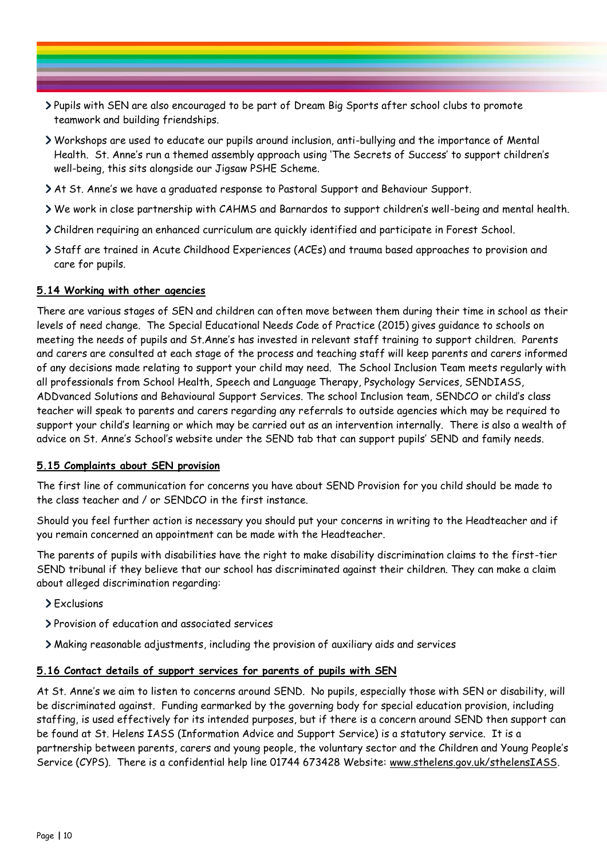- Pupils with SEN are also encouraged to be part of Dream Big Sports after school clubs to promote teamwork and building friendships.
- Workshops are used to educate our pupils around inclusion, anti-bullying and the importance of Mental Health. St. Anne's run a themed assembly approach using 'The Secrets of Success' to support children's well-being, this sits alongside our Jigsaw PSHE Scheme.
- At St. Anne's we have a graduated response to Pastoral Support and Behaviour Support.
- We work in close partnership with CAHMS and Barnardos to support children's well-being and mental health.
- Children requiring an enhanced curriculum are quickly identified and participate in Forest School.
- Staff are trained in Acute Childhood Experiences (ACEs) and trauma based approaches to provision and care for pupils.

## **5.14 Working with other agencies**

There are various stages of SEN and children can often move between them during their time in school as their levels of need change. The Special Educational Needs Code of Practice (2015) gives guidance to schools on meeting the needs of pupils and St.Anne's has invested in relevant staff training to support children. Parents and carers are consulted at each stage of the process and teaching staff will keep parents and carers informed of any decisions made relating to support your child may need. The School Inclusion Team meets regularly with all professionals from School Health, Speech and Language Therapy, Psychology Services, SENDIASS, ADDvanced Solutions and Behavioural Support Services. The school Inclusion team, SENDCO or child's class teacher will speak to parents and carers regarding any referrals to outside agencies which may be required to support your child's learning or which may be carried out as an intervention internally. There is also a wealth of advice on St. Anne's School's website under the SEND tab that can support pupils' SEND and family needs.

# **5.15 Complaints about SEN provision**

The first line of communication for concerns you have about SEND Provision for you child should be made to the class teacher and / or SENDCO in the first instance.

Should you feel further action is necessary you should put your concerns in writing to the Headteacher and if you remain concerned an appointment can be made with the Headteacher.

The parents of pupils with disabilities have the right to make disability discrimination claims to the first-tier SEND tribunal if they believe that our school has discriminated against their children. They can make a claim about alleged discrimination regarding:

- > Exclusions
- Provision of education and associated services
- Making reasonable adjustments, including the provision of auxiliary aids and services

#### **5.16 Contact details of support services for parents of pupils with SEN**

At St. Anne's we aim to listen to concerns around SEND. No pupils, especially those with SEN or disability, will be discriminated against. Funding earmarked by the governing body for special education provision, including staffing, is used effectively for its intended purposes, but if there is a concern around SEND then support can be found at St. Helens IASS (Information Advice and Support Service) is a statutory service. It is a partnership between parents, carers and young people, the voluntary sector and the Children and Young People's Service (CYPS). There is a confidential help line 01744 673428 Website: [www.sthelens.gov.uk/sthelensIASS.](http://www.sthelens.gov.uk/sthelensIASS)